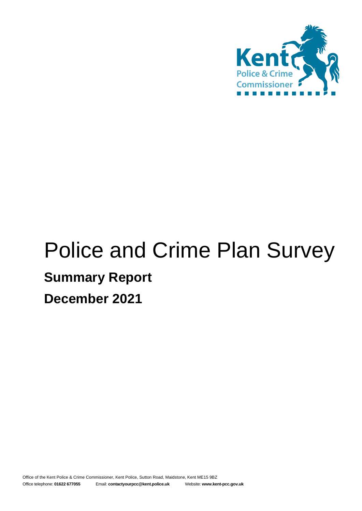

# Police and Crime Plan Survey **Summary Report December 2021**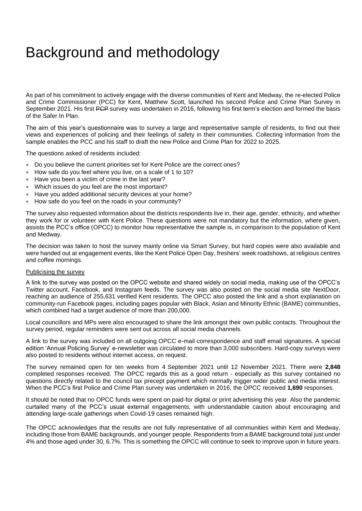## Background and methodology

As part of his commitment to actively engage with the diverse communities of Kent and Medway, the re-elected Police and Crime Commissioner (PCC) for Kent, Matthew Scott, launched his second Police and Crime Plan Survey in September 2021. His first PCP survey was undertaken in 2016, following his first term's election and formed the basis of the Safer In Plan.

The aim of this year's questionnaire was to survey a large and representative sample of residents, to find out their views and experiences of policing and their feelings of safety in their communities. Collecting information from the sample enables the PCC and his staff to draft the new Police and Crime Plan for 2022 to 2025.

The questions asked of residents included:

- Do you believe the current priorities set for Kent Police are the correct ones?
- How safe do you feel where you live, on a scale of 1 to 10?
- Have you been a victim of crime in the last year?
- Which issues do you feel are the most important?
- Have you added additional security devices at your home?
- How safe do you feel on the roads in your community?

The survey also requested information about the districts respondents live in, their age, gender, ethnicity, and whether they work for or volunteer with Kent Police. These questions were not mandatory but the information, where given, assists the PCC's office (OPCC) to monitor how representative the sample is, in comparison to the population of Kent and Medway.

The decision was taken to host the survey mainly online via Smart Survey, but hard copies were also available and were handed out at engagement events, like the Kent Police Open Day, freshers' week roadshows, at religious centres and coffee mornings.

#### Publicising the survey

A link to the survey was posted on the OPCC website and shared widely on social media, making use of the OPCC's Twitter account, Facebook, and Instagram feeds. The survey was also posted on the social media site NextDoor, reaching an audience of 255,631 verified Kent residents. The OPCC also posted the link and a short explanation on community-run Facebook pages, including pages popular with Black, Asian and Minority Ethnic (BAME) communities, which combined had a target audience of more than 200,000.

Local councillors and MPs were also encouraged to share the link amongst their own public contacts. Throughout the survey period, regular reminders were sent out across all social media channels.

A link to the survey was included on all outgoing OPCC e-mail correspondence and staff email signatures. A special edition 'Annual Policing Survey' e-newsletter was circulated to more than 3,000 subscribers. Hard-copy surveys were also posted to residents without internet access, on request.

The survey remained open for ten weeks from 4 September 2021 until 12 November 2021. There were **2,848** completed responses received. The OPCC regards this as a good return - especially as this survey contained no questions directly related to the council tax precept payment which normally trigger wider public and media interest. When the PCC's first Police and Crime Plan survey was undertaken in 2016, the OPCC received **1,690** responses.

It should be noted that no OPCC funds were spent on paid-for digital or print advertising this year. Also the pandemic curtailed many of the PCC's usual external engagements, with understandable caution about encouraging and attending large-scale gatherings when Covid-19 cases remained high.

The OPCC acknowledges that the results are not fully representative of all communities within Kent and Medway, including those from BAME backgrounds, and younger people. Respondents from a BAME background total just under 4% and those aged under 30, 6.7%. This is something the OPCC will continue to seek to improve upon in future years.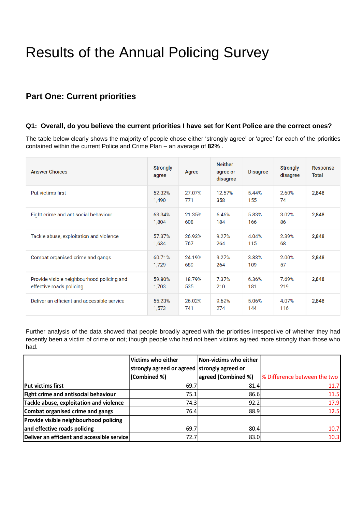## Results of the Annual Policing Survey

## **Part One: Current priorities**

#### **Q1: Overall, do you believe the current priorities I have set for Kent Police are the correct ones?**

The table below clearly shows the majority of people chose either 'strongly agree' or 'agree' for each of the priorities contained within the current Police and Crime Plan – an average of **82%** .

| <b>Answer Choices</b>                                                  | <b>Strongly</b><br>agree | Agree         | <b>Neither</b><br>agree or<br>disagree | <b>Disagree</b> | <b>Strongly</b><br>disagree | Response<br>Total |
|------------------------------------------------------------------------|--------------------------|---------------|----------------------------------------|-----------------|-----------------------------|-------------------|
| Put victims first                                                      | 52.32%<br>1,490          | 27.07%<br>771 | 12.57%<br>358                          | 5.44%<br>155    | 2.60%<br>74                 | 2,848             |
| Fight crime and antisocial behaviour                                   | 63.34%<br>1,804          | 21.35%<br>608 | 6.46%<br>184                           | 5.83%<br>166    | 3.02%<br>86                 | 2,848             |
| Tackle abuse, exploitation and violence                                | 57.37%<br>1,634          | 26.93%<br>767 | 9.27%<br>264                           | 4.04%<br>115    | 2.39%<br>68                 | 2,848             |
| Combat organised crime and gangs                                       | 60.71%<br>1,729          | 24.19%<br>689 | 9.27%<br>264                           | 3.83%<br>109    | 2.00%<br>57                 | 2,848             |
| Provide visible neighbourhood policing and<br>effective roads policing | 59.80%<br>1,703          | 18.79%<br>535 | 7.37%<br>210                           | 6.36%<br>181    | 7.69%<br>219                | 2,848             |
| Deliver an efficient and accessible service                            | 55.23%<br>1,573          | 26.02%<br>741 | 9.62%<br>274                           | 5.06%<br>144    | 4.07%<br>116                | 2,848             |

Further analysis of the data showed that people broadly agreed with the priorities irrespective of whether they had recently been a victim of crime or not; though people who had not been victims agreed more strongly than those who had.

|                                             | Victims who either                           | Non-victims who either |                              |
|---------------------------------------------|----------------------------------------------|------------------------|------------------------------|
|                                             | strongly agreed or agreed strongly agreed or |                        |                              |
|                                             | (Combined %)                                 | agreed (Combined %)    | % Difference between the two |
| Put victims first                           | 69.7                                         | 81.4                   | 11.7                         |
| Fight crime and antisocial behaviour        | 75.1                                         | 86.6                   | 11.5                         |
| Tackle abuse, exploitation and violence     | 74.3                                         | 92.2                   | 17.9                         |
| Combat organised crime and gangs            | 76.4                                         | 88.9                   | 12.5                         |
| Provide visible neighbourhood policing      |                                              |                        |                              |
| and effective roads policing                | 69.7                                         | 80.4                   | 10.7                         |
| Deliver an efficient and accessible service | 72.7                                         | 83.0                   | 10.3                         |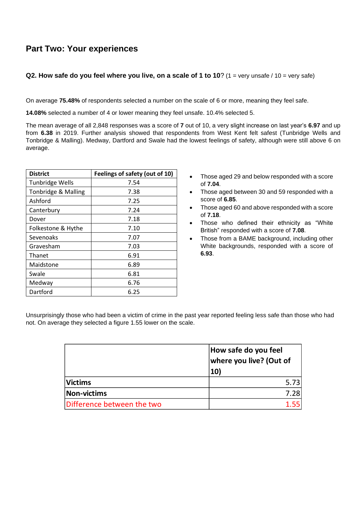## **Part Two: Your experiences**

#### **Q2. How safe do you feel where you live, on a scale of 1 to 10?** (1 = very unsafe / 10 = very safe)

On average **75.48%** of respondents selected a number on the scale of 6 or more, meaning they feel safe.

**14.08%** selected a number of 4 or lower meaning they feel unsafe. 10.4% selected 5.

The mean average of all 2,848 responses was a score of **7** out of 10, a very slight increase on last year's **6.97** and up from **6.38** in 2019. Further analysis showed that respondents from West Kent felt safest (Tunbridge Wells and Tonbridge & Malling). Medway, Dartford and Swale had the lowest feelings of safety, although were still above 6 on average.

| <b>District</b>        | Feelings of safety (out of 10) |
|------------------------|--------------------------------|
| <b>Tunbridge Wells</b> | 7.54                           |
| Tonbridge & Malling    | 7.38                           |
| Ashford                | 7.25                           |
| Canterbury             | 7.24                           |
| Dover                  | 7.18                           |
| Folkestone & Hythe     | 7.10                           |
| Sevenoaks              | 7.07                           |
| Gravesham              | 7.03                           |
| Thanet                 | 6.91                           |
| Maidstone              | 6.89                           |
| Swale                  | 6.81                           |
| Medway                 | 6.76                           |
| Dartford               | 6.25                           |

- Those aged 29 and below responded with a score of **7.04**.
- Those aged between 30 and 59 responded with a score of **6.85**.
- Those aged 60 and above responded with a score of **7.18**.
- Those who defined their ethnicity as "White British" responded with a score of **7.08**.
- Those from a BAME background, including other White backgrounds, responded with a score of **6.93**.

Unsurprisingly those who had been a victim of crime in the past year reported feeling less safe than those who had not. On average they selected a figure 1.55 lower on the scale.

|                            | How safe do you feel<br>where you live? (Out of<br><b>10)</b> |
|----------------------------|---------------------------------------------------------------|
| <b>Victims</b>             | 5.73                                                          |
| <b>Non-victims</b>         | 7.28                                                          |
| Difference between the two |                                                               |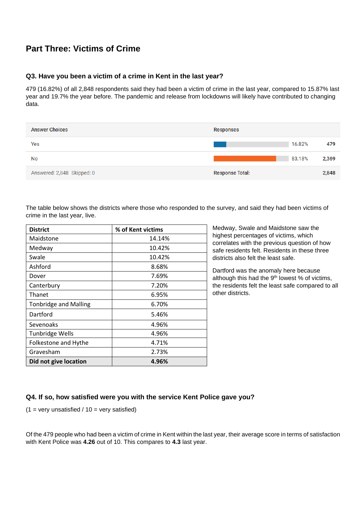## **Part Three: Victims of Crime**

#### **Q3. Have you been a victim of a crime in Kent in the last year?**

479 (16.82%) of all 2,848 respondents said they had been a victim of crime in the last year, compared to 15.87% last year and 19.7% the year before. The pandemic and release from lockdowns will likely have contributed to changing data.

| <b>Answer Choices</b>      | <b>Responses</b>       |        |       |
|----------------------------|------------------------|--------|-------|
| Yes                        |                        | 16.82% | 479   |
| No                         |                        | 83.18% | 2,369 |
| Answered: 2,848 Skipped: 0 | <b>Response Total:</b> |        | 2,848 |

The table below shows the districts where those who responded to the survey, and said they had been victims of crime in the last year, live.

| <b>District</b>              | % of Kent victims |
|------------------------------|-------------------|
| Maidstone                    | 14.14%            |
| Medway                       | 10.42%            |
| Swale                        | 10.42%            |
| Ashford                      | 8.68%             |
| Dover                        | 7.69%             |
| Canterbury                   | 7.20%             |
| Thanet                       | 6.95%             |
| <b>Tonbridge and Malling</b> | 6.70%             |
| Dartford                     | 5.46%             |
| Sevenoaks                    | 4.96%             |
| <b>Tunbridge Wells</b>       | 4.96%             |
| Folkestone and Hythe         | 4.71%             |
| Gravesham                    | 2.73%             |
| Did not give location        | 4.96%             |

Medway, Swale and Maidstone saw the highest percentages of victims, which correlates with the previous question of how safe residents felt. Residents in these three districts also felt the least safe.

Dartford was the anomaly here because although this had the  $9<sup>th</sup>$  lowest % of victims, the residents felt the least safe compared to all other districts.

#### **Q4. If so, how satisfied were you with the service Kent Police gave you?**

 $(1 = \text{very unsatisfied} / 10 = \text{very satisfied})$ 

Of the 479 people who had been a victim of crime in Kent within the last year, their average score in terms of satisfaction with Kent Police was **4.26** out of 10. This compares to **4.3** last year.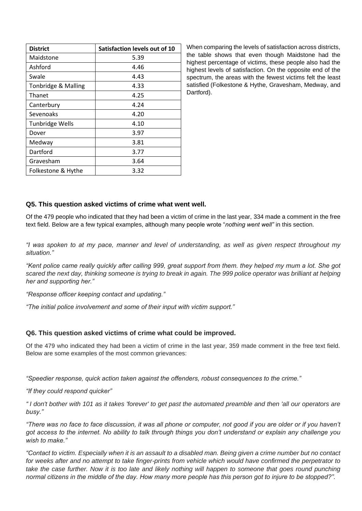| <b>District</b>        | Satisfaction levels out of 10 |
|------------------------|-------------------------------|
| Maidstone              | 5.39                          |
| Ashford                | 4.46                          |
| Swale                  | 4.43                          |
| Tonbridge & Malling    | 4.33                          |
| Thanet                 | 4.25                          |
| Canterbury             | 4.24                          |
| Sevenoaks              | 4.20                          |
| <b>Tunbridge Wells</b> | 4.10                          |
| Dover                  | 3.97                          |
| Medway                 | 3.81                          |
| Dartford               | 3.77                          |
| Gravesham              | 3.64                          |
| Folkestone & Hythe     | 3.32                          |

When comparing the levels of satisfaction across districts, the table shows that even though Maidstone had the highest percentage of victims, these people also had the highest levels of satisfaction. On the opposite end of the spectrum, the areas with the fewest victims felt the least satisfied (Folkestone & Hythe, Gravesham, Medway, and Dartford).

#### **Q5. This question asked victims of crime what went well.**

Of the 479 people who indicated that they had been a victim of crime in the last year, 334 made a comment in the free text field. Below are a few typical examples, although many people wrote "*nothing went well"* in this section.

*"I was spoken to at my pace, manner and level of understanding, as well as given respect throughout my situation."*

*"Kent police came really quickly after calling 999, great support from them. they helped my mum a lot. She got scared the next day, thinking someone is trying to break in again. The 999 police operator was brilliant at helping her and supporting her."*

*"Response officer keeping contact and updating."*

*"The initial police involvement and some of their input with victim support."*

#### **Q6. This question asked victims of crime what could be improved.**

Of the 479 who indicated they had been a victim of crime in the last year, 359 made comment in the free text field. Below are some examples of the most common grievances:

*"Speedier response, quick action taken against the offenders, robust consequences to the crime."*

*"If they could respond quicker"*

*" I don't bother with 101 as it takes 'forever' to get past the automated preamble and then 'all our operators are busy."*

*"There was no face to face discussion, it was all phone or computer, not good if you are older or if you haven't got access to the internet. No ability to talk through things you don't understand or explain any challenge you wish to make."*

*"Contact to victim. Especially when it is an assault to a disabled man. Being given a crime number but no contact*  for weeks after and no attempt to take finger-prints from vehicle which would have confirmed the perpetrator to take the case further. Now it is too late and likely nothing will happen to someone that goes round punching *normal citizens in the middle of the day. How many more people has this person got to injure to be stopped?".*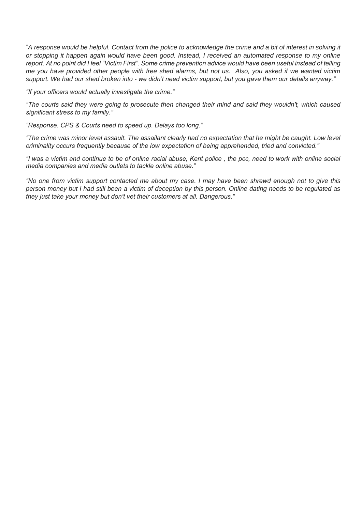"*A response would be helpful. Contact from the police to acknowledge the crime and a bit of interest in solving it or stopping it happen again would have been good. Instead, I received an automated response to my online report. At no point did I feel "Victim First". Some crime prevention advice would have been useful instead of telling me you have provided other people with free shed alarms, but not us. Also, you asked if we wanted victim support. We had our shed broken into - we didn't need victim support, but you gave them our details anyway."* 

*"If your officers would actually investigate the crime."*

*"The courts said they were going to prosecute then changed their mind and said they wouldn't, which caused significant stress to my family."*

*"Response. CPS & Courts need to speed up. Delays too long."*

*"The crime was minor level assault. The assailant clearly had no expectation that he might be caught. Low level criminality occurs frequently because of the low expectation of being apprehended, tried and convicted."*

*"I was a victim and continue to be of online racial abuse, Kent police , the pcc, need to work with online social media companies and media outlets to tackle online abuse."*

*"No one from victim support contacted me about my case. I may have been shrewd enough not to give this person money but I had still been a victim of deception by this person. Online dating needs to be regulated as they just take your money but don't vet their customers at all. Dangerous."*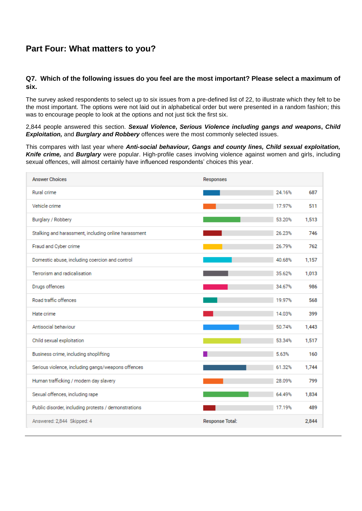## **Part Four: What matters to you?**

#### **Q7. Which of the following issues do you feel are the most important? Please select a maximum of six.**

The survey asked respondents to select up to six issues from a pre-defined list of 22, to illustrate which they felt to be the most important. The options were not laid out in alphabetical order but were presented in a random fashion; this was to encourage people to look at the options and not just tick the first six.

2,844 people answered this section. *Sexual Violence***,** *Serious Violence including gangs and weapons***,** *Child Exploitation,* and *Burglary and Robbery* offences were the most commonly selected issues.

This compares with last year where *Anti-social behaviour, Gangs and county lines, Child sexual exploitation, Knife crime,* and *Burglary* were popular. High-profile cases involving violence against women and girls, including sexual offences, will almost certainly have influenced respondents' choices this year.

| <b>Answer Choices</b>                                | Responses              |        |       |
|------------------------------------------------------|------------------------|--------|-------|
| Rural crime                                          |                        | 24.16% | 687   |
| Vehicle crime                                        |                        | 17.97% | 511   |
| Burglary / Robbery                                   |                        | 53.20% | 1,513 |
| Stalking and harassment, including online harassment |                        | 26.23% | 746   |
| Fraud and Cyber crime                                |                        | 26.79% | 762   |
| Domestic abuse, including coercion and control       |                        | 40.68% | 1,157 |
| Terrorism and radicalisation                         |                        | 35.62% | 1,013 |
| Drugs offences                                       |                        | 34.67% | 986   |
| Road traffic offences                                |                        | 19.97% | 568   |
| Hate crime                                           |                        | 14.03% | 399   |
| Antisocial behaviour                                 |                        | 50.74% | 1,443 |
| Child sexual exploitation                            |                        | 53.34% | 1,517 |
| Business crime, including shoplifting                |                        | 5.63%  | 160   |
| Serious violence, including gangs/weapons offences   |                        | 61.32% | 1,744 |
| Human trafficking / modern day slavery               |                        | 28.09% | 799   |
| Sexual offences, including rape                      |                        | 64.49% | 1,834 |
| Public disorder, including protests / demonstrations |                        | 17.19% | 489   |
| Answered: 2,844 Skipped: 4                           | <b>Response Total:</b> |        | 2.844 |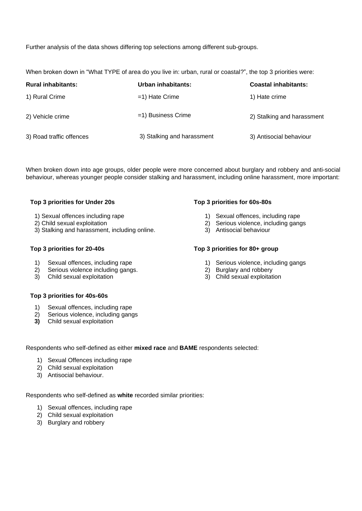Further analysis of the data shows differing top selections among different sub-groups.

When broken down in "What TYPE of area do you live in: urban, rural or coastal?", the top 3 priorities were:

| <b>Rural inhabitants:</b> | Urban inhabitants:         | <b>Coastal inhabitants:</b> |
|---------------------------|----------------------------|-----------------------------|
| 1) Rural Crime            | $=$ 1) Hate Crime          | 1) Hate crime               |
| 2) Vehicle crime          | =1) Business Crime         | 2) Stalking and harassment  |
| 3) Road traffic offences  | 3) Stalking and harassment | 3) Antisocial behaviour     |

When broken down into age groups, older people were more concerned about burglary and robbery and anti-social behaviour, whereas younger people consider stalking and harassment, including online harassment, more important:

#### **Top 3 priorities for Under 20s**

- 1) Sexual offences including rape
- 2) Child sexual exploitation
- 3) Stalking and harassment, including online.

#### **Top 3 priorities for 20-40s**

- 1) Sexual offences, including rape
- 2) Serious violence including gangs.
- 3) Child sexual exploitation

#### **Top 3 priorities for 40s-60s**

- 1) Sexual offences, including rape
- 2) Serious violence, including gangs
- **3)** Child sexual exploitation

#### **Top 3 priorities for 60s-80s**

- 1) Sexual offences, including rape
- 2) Serious violence, including gangs
- 3) Antisocial behaviour

#### **Top 3 priorities for 80+ group**

- 1) Serious violence, including gangs
- 2) Burglary and robbery
- 3) Child sexual exploitation

Respondents who self-defined as either **mixed race** and **BAME** respondents selected:

- 1) Sexual Offences including rape
- 2) Child sexual exploitation
- 3) Antisocial behaviour.

Respondents who self-defined as **white** recorded similar priorities:

- 1) Sexual offences, including rape
- 2) Child sexual exploitation
- 3) Burglary and robbery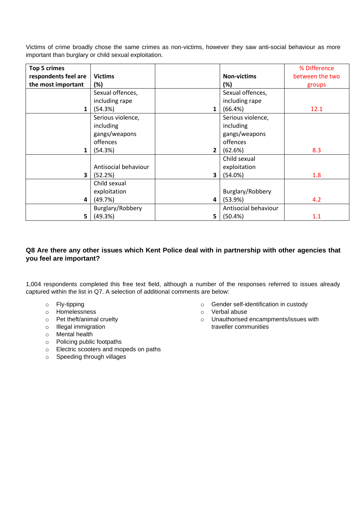Victims of crime broadly chose the same crimes as non-victims, however they saw anti-social behaviour as more important than burglary or child sexual exploitation.

| <b>Top 5 crimes</b>  |                      |                |                      | % Difference    |
|----------------------|----------------------|----------------|----------------------|-----------------|
| respondents feel are | <b>Victims</b>       |                | <b>Non-victims</b>   | between the two |
| the most important   | (%)                  |                | (%)                  | groups          |
|                      | Sexual offences,     |                | Sexual offences,     |                 |
|                      | including rape       |                | including rape       |                 |
| $\mathbf{1}$         | (54.3%)              | 1              | (66.4%)              | 12.1            |
|                      | Serious violence,    |                | Serious violence,    |                 |
|                      | including            |                | including            |                 |
|                      | gangs/weapons        |                | gangs/weapons        |                 |
|                      | offences             |                | offences             |                 |
|                      | (54.3%)              | 2 <sub>1</sub> | (62.6%)              | 8.3             |
|                      |                      |                | Child sexual         |                 |
|                      | Antisocial behaviour |                | exploitation         |                 |
| 3                    | (52.2%)              | 3              | (54.0%)              | 1.8             |
|                      | Child sexual         |                |                      |                 |
|                      | exploitation         |                | Burglary/Robbery     |                 |
| 4                    | (49.7%)              | 4              | (53.9%)              | 4.2             |
|                      | Burglary/Robbery     |                | Antisocial behaviour |                 |
| 5                    | (49.3%)              | 5              | (50.4%)              | 1.1             |

#### **Q8 Are there any other issues which Kent Police deal with in partnership with other agencies that you feel are important?**

1,004 respondents completed this free text field, although a number of the responses referred to issues already captured within the list in Q7. A selection of additional comments are below:

- o Fly-tipping
- o Homelessness
- o Pet theft/animal cruelty
- o Illegal immigration
- o Mental health
- o Policing public footpaths
- o Electric scooters and mopeds on paths
- o Speeding through villages
- o Gender self-identification in custody
- o Verbal abuse
- o Unauthorised encampments/issues with traveller communities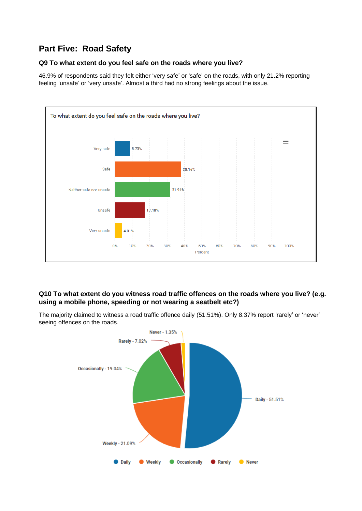## **Part Five: Road Safety**

#### **Q9 To what extent do you feel safe on the roads where you live?**

46.9% of respondents said they felt either 'very safe' or 'safe' on the roads, with only 21.2% reporting feeling 'unsafe' or 'very unsafe'. Almost a third had no strong feelings about the issue.



#### **Q10 To what extent do you witness road traffic offences on the roads where you live? (e.g. using a mobile phone, speeding or not wearing a seatbelt etc?)**

The majority claimed to witness a road traffic offence daily (51.51%). Only 8.37% report 'rarely' or 'never' seeing offences on the roads.

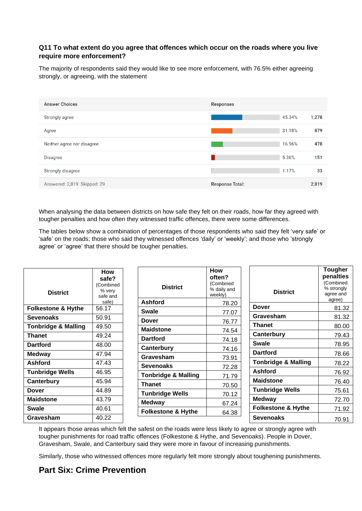#### **Q11 To what extent do you agree that offences which occur on the roads where you live require more enforcement?**

The majority of respondents said they would like to see more enforcement, with 76.5% either agreeing strongly, or agreeing, with the statement

| <b>Answer Choices</b>       | <b>Responses</b>       |        |       |
|-----------------------------|------------------------|--------|-------|
| <b>Strongly agree</b>       |                        | 45.34% | 1,278 |
| Agree                       |                        | 31.18% | 879   |
| Neither agree nor disagree  |                        | 16.96% | 478   |
| <b>Disagree</b>             |                        | 5.36%  | 151   |
| <b>Strongly disagree</b>    |                        | 1.17%  | 33    |
| Answered: 2,819 Skipped: 29 | <b>Response Total:</b> |        | 2,819 |

When analysing the data between districts on how safe they felt on their roads, how far they agreed with tougher penalties and how often they witnessed traffic offences, there were some differences.

The tables below show a combination of percentages of those respondents who said they felt 'very safe' or 'safe' on the roads; those who said they witnessed offences 'daily' or 'weekly'; and those who 'strongly agree' or 'agree' that there should be tougher penalties.

| <b>District</b>                | How<br>safe?<br>(Combined<br>% very<br>safe and | <b>District</b>                | <b>How</b><br>often?<br>(Combined<br>% daily and<br>weekly) | <b>District</b>                | <b>Tougher</b><br>penalties<br>(Combined<br>% strongly<br>agree and |
|--------------------------------|-------------------------------------------------|--------------------------------|-------------------------------------------------------------|--------------------------------|---------------------------------------------------------------------|
|                                | safe)                                           | <b>Ashford</b>                 | 78.20                                                       |                                | agree)                                                              |
| <b>Folkestone &amp; Hythe</b>  | 56.17                                           | <b>Swale</b>                   | 77.07                                                       | <b>Dover</b>                   | 81.32                                                               |
| <b>Sevenoaks</b>               | 50.91                                           | <b>Dover</b>                   |                                                             | Gravesham                      | 81.32                                                               |
| <b>Tonbridge &amp; Malling</b> | 49.50                                           | <b>Maidstone</b>               | 76.77                                                       | <b>Thanet</b>                  | 80.00                                                               |
| <b>Thanet</b>                  | 49.24                                           | <b>Dartford</b>                | 74.54                                                       | Canterbury                     | 79.43                                                               |
| <b>Dartford</b>                | 48.00                                           |                                | 74.18                                                       | <b>Swale</b>                   | 78.95                                                               |
| <b>Medway</b>                  | 47.94                                           | Canterbury                     | 74.16                                                       | <b>Dartford</b>                | 78.66                                                               |
| <b>Ashford</b>                 | 47.43                                           | Gravesham                      | 73.91                                                       | <b>Tonbridge &amp; Malling</b> | 78.22                                                               |
| <b>Tunbridge Wells</b>         | 46.95                                           | <b>Sevenoaks</b>               | 72.28                                                       | <b>Ashford</b>                 | 76.92                                                               |
| Canterbury                     | 45.94                                           | <b>Tonbridge &amp; Malling</b> | 71.79                                                       | <b>Maidstone</b>               | 76.40                                                               |
|                                |                                                 | <b>Thanet</b>                  | 70.50                                                       | <b>Tunbridge Wells</b>         |                                                                     |
| <b>Dover</b>                   | 44.89                                           | <b>Tunbridge Wells</b>         | 70.12                                                       |                                | 75.61                                                               |
| <b>Maidstone</b>               | 43.79                                           | <b>Medway</b>                  | 67.24                                                       | <b>Medway</b>                  | 72.70                                                               |
| <b>Swale</b>                   | 40.61                                           | <b>Folkestone &amp; Hythe</b>  | 64.38                                                       | <b>Folkestone &amp; Hythe</b>  | 71.92                                                               |
| Gravesham                      | 40.22                                           |                                |                                                             | <b>Sevenoaks</b>               | 70.91                                                               |

It appears those areas which felt the safest on the roads were less likely to agree or strongly agree with tougher punishments for road traffic offences (Folkestone & Hythe, and Sevenoaks). People in Dover, Gravesham, Swale, and Canterbury said they were more in favour of increasing punishments.

Similarly, those who witnessed offences more regularly felt more strongly about toughening punishments.

### **Part Six: Crime Prevention**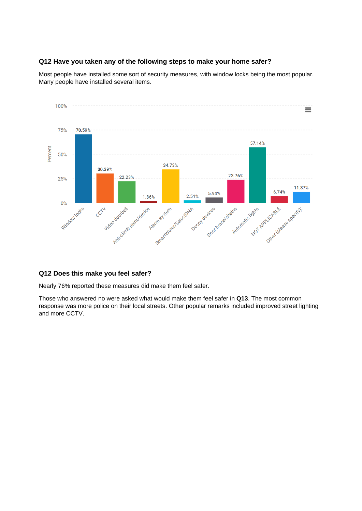#### **Q12 Have you taken any of the following steps to make your home safer?**

Most people have installed some sort of security measures, with window locks being the most popular. Many people have installed several items.



#### **Q12 Does this make you feel safer?**

Nearly 76% reported these measures did make them feel safer.

Those who answered no were asked what would make them feel safer in **Q13**. The most common response was more police on their local streets. Other popular remarks included improved street lighting and more CCTV.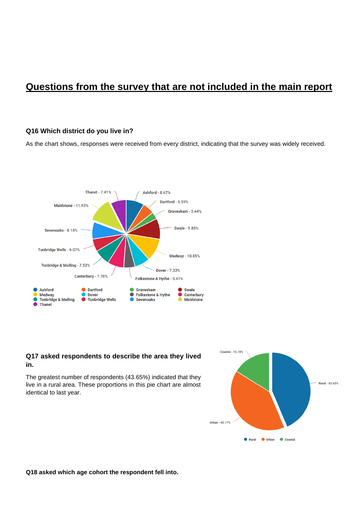## **Questions from the survey that are not included in the main report**

#### **Q16 Which district do you live in?**

As the chart shows, responses were received from every district, indicating that the survey was widely received.



#### **Q17 asked respondents to describe the area they lived in.**

The greatest number of respondents (43.65%) indicated that they live in a rural area. These proportions in this pie chart are almost identical to last year.



**Q18 asked which age cohort the respondent fell into.**